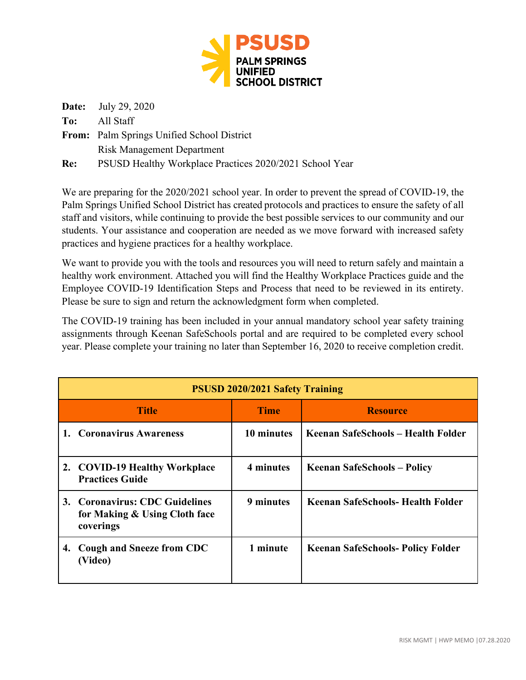

**Date:** July 29, 2020 **To:** All Staff **From:** Palm Springs Unified School District Risk Management Department

**Re:** PSUSD Healthy Workplace Practices 2020/2021 School Year

We are preparing for the 2020/2021 school year. In order to prevent the spread of COVID-19, the Palm Springs Unified School District has created protocols and practices to ensure the safety of all staff and visitors, while continuing to provide the best possible services to our community and our students. Your assistance and cooperation are needed as we move forward with increased safety practices and hygiene practices for a healthy workplace.

We want to provide you with the tools and resources you will need to return safely and maintain a healthy work environment. Attached you will find the Healthy Workplace Practices guide and the Employee COVID-19 Identification Steps and Process that need to be reviewed in its entirety. Please be sure to sign and return the acknowledgment form when completed.

The COVID-19 training has been included in your annual mandatory school year safety training assignments through Keenan SafeSchools portal and are required to be completed every school year. Please complete your training no later than September 16, 2020 to receive completion credit.

| <b>PSUSD 2020/2021 Safety Training</b> |                                                                              |             |                                          |
|----------------------------------------|------------------------------------------------------------------------------|-------------|------------------------------------------|
|                                        | <b>Title</b>                                                                 | <b>Time</b> | <b>Resource</b>                          |
|                                        | 1. Coronavirus Awareness                                                     | 10 minutes  | Keenan SafeSchools – Health Folder       |
|                                        | 2. COVID-19 Healthy Workplace<br><b>Practices Guide</b>                      | 4 minutes   | <b>Keenan SafeSchools – Policy</b>       |
|                                        | 3. Coronavirus: CDC Guidelines<br>for Making & Using Cloth face<br>coverings | 9 minutes   | Keenan SafeSchools- Health Folder        |
| 4.                                     | <b>Cough and Sneeze from CDC</b><br>(Video)                                  | 1 minute    | <b>Keenan SafeSchools- Policy Folder</b> |